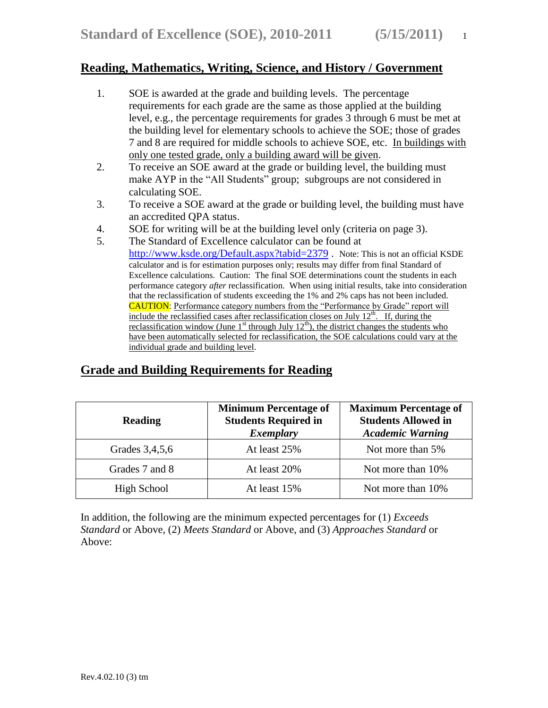#### **Reading, Mathematics, Writing, Science, and History / Government**

- 1. SOE is awarded at the grade and building levels. The percentage requirements for each grade are the same as those applied at the building level, e.g., the percentage requirements for grades 3 through 6 must be met at the building level for elementary schools to achieve the SOE; those of grades 7 and 8 are required for middle schools to achieve SOE, etc. In buildings with only one tested grade, only a building award will be given.
- 2. To receive an SOE award at the grade or building level, the building must make AYP in the "All Students" group; subgroups are not considered in calculating SOE.
- 3. To receive a SOE award at the grade or building level, the building must have an accredited QPA status.
- 4. SOE for writing will be at the building level only (criteria on page 3).
- 5. The Standard of Excellence calculator can be found at <http://www.ksde.org/Default.aspx?tabid=2379> . Note: This is not an official KSDE calculator and is for estimation purposes only; results may differ from final Standard of Excellence calculations. Caution: The final SOE determinations count the students in each performance category *after* reclassification. When using initial results, take into consideration that the reclassification of students exceeding the 1% and 2% caps has not been included.

CAUTION: Performance category numbers from the "Performance by Grade" report will include the reclassified cases after reclassification closes on July  $12<sup>th</sup>$ . If, during the reclassification window (June  $1<sup>st</sup>$  through July  $12<sup>th</sup>$ ), the district changes the students who have been automatically selected for reclassification, the SOE calculations could vary at the individual grade and building level.

### **Grade and Building Requirements for Reading**

| Reading        | <b>Minimum Percentage of</b><br><b>Students Required in</b><br><b>Exemplary</b> | <b>Maximum Percentage of</b><br><b>Students Allowed in</b><br><b>Academic Warning</b> |
|----------------|---------------------------------------------------------------------------------|---------------------------------------------------------------------------------------|
| Grades 3,4,5,6 | At least 25%                                                                    | Not more than 5%                                                                      |
| Grades 7 and 8 | At least 20%                                                                    | Not more than 10%                                                                     |
| High School    | At least 15%                                                                    | Not more than 10%                                                                     |

In addition, the following are the minimum expected percentages for (1) *Exceeds Standard* or Above, (2) *Meets Standard* or Above, and (3) *Approaches Standard* or Above: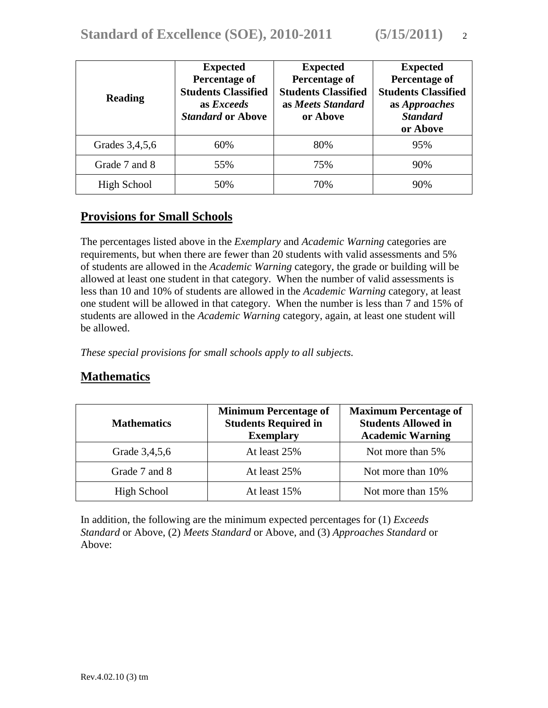| <b>Reading</b> | <b>Expected</b><br><b>Percentage of</b><br><b>Students Classified</b><br>as <i>Exceeds</i><br><i><b>Standard or Above</b></i> | <b>Expected</b><br>Percentage of<br><b>Students Classified</b><br>as Meets Standard<br>or Above | <b>Expected</b><br><b>Percentage of</b><br><b>Students Classified</b><br>as <i>Approaches</i><br><b>Standard</b><br>or Above |
|----------------|-------------------------------------------------------------------------------------------------------------------------------|-------------------------------------------------------------------------------------------------|------------------------------------------------------------------------------------------------------------------------------|
| Grades 3,4,5,6 | 60%                                                                                                                           | 80%                                                                                             | 95%                                                                                                                          |
| Grade 7 and 8  | 55%                                                                                                                           | 75%                                                                                             | 90%                                                                                                                          |
| High School    | 50%                                                                                                                           | 70%                                                                                             | 90%                                                                                                                          |

## **Provisions for Small Schools**

The percentages listed above in the *Exemplary* and *Academic Warning* categories are requirements, but when there are fewer than 20 students with valid assessments and 5% of students are allowed in the *Academic Warning* category, the grade or building will be allowed at least one student in that category. When the number of valid assessments is less than 10 and 10% of students are allowed in the *Academic Warning* category, at least one student will be allowed in that category. When the number is less than 7 and 15% of students are allowed in the *Academic Warning* category, again, at least one student will be allowed.

*These special provisions for small schools apply to all subjects.*

### **Mathematics**

| <b>Mathematics</b> | <b>Minimum Percentage of</b><br><b>Students Required in</b><br><b>Exemplary</b> | <b>Maximum Percentage of</b><br><b>Students Allowed in</b><br><b>Academic Warning</b> |
|--------------------|---------------------------------------------------------------------------------|---------------------------------------------------------------------------------------|
| Grade 3,4,5,6      | At least 25%                                                                    | Not more than 5%                                                                      |
| Grade 7 and 8      | At least 25%                                                                    | Not more than 10%                                                                     |
| High School        | At least 15%                                                                    | Not more than 15%                                                                     |

In addition, the following are the minimum expected percentages for (1) *Exceeds Standard* or Above, (2) *Meets Standard* or Above, and (3) *Approaches Standard* or Above: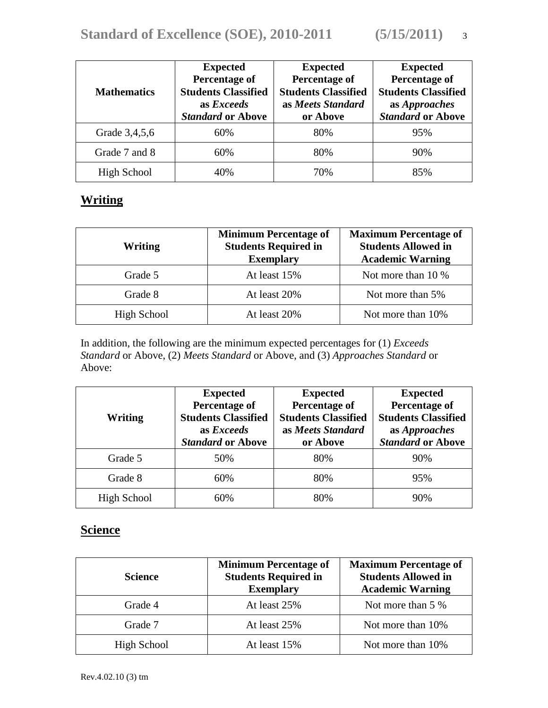| <b>Mathematics</b> | <b>Expected</b><br><b>Percentage of</b><br><b>Students Classified</b><br>as <i>Exceeds</i><br><b>Standard or Above</b> | <b>Expected</b><br><b>Percentage of</b><br><b>Students Classified</b><br>as Meets Standard<br>or Above | <b>Expected</b><br>Percentage of<br><b>Students Classified</b><br>as Approaches<br><b>Standard or Above</b> |
|--------------------|------------------------------------------------------------------------------------------------------------------------|--------------------------------------------------------------------------------------------------------|-------------------------------------------------------------------------------------------------------------|
| Grade 3,4,5,6      | 60%                                                                                                                    | 80%                                                                                                    | 95%                                                                                                         |
| Grade 7 and 8      | 60%                                                                                                                    | 80%                                                                                                    | 90%                                                                                                         |
| High School        | 40%                                                                                                                    | 70%                                                                                                    | 85%                                                                                                         |

## **Writing**

| Writing     | <b>Minimum Percentage of</b><br><b>Students Required in</b><br><b>Exemplary</b> | <b>Maximum Percentage of</b><br><b>Students Allowed in</b><br><b>Academic Warning</b> |
|-------------|---------------------------------------------------------------------------------|---------------------------------------------------------------------------------------|
| Grade 5     | At least 15%                                                                    | Not more than 10 %                                                                    |
| Grade 8     | At least 20%                                                                    | Not more than 5%                                                                      |
| High School | At least 20%                                                                    | Not more than 10%                                                                     |

In addition, the following are the minimum expected percentages for (1) *Exceeds Standard* or Above, (2) *Meets Standard* or Above, and (3) *Approaches Standard* or Above:

| Writing     | <b>Expected</b><br><b>Percentage of</b><br><b>Students Classified</b><br>as <i>Exceeds</i><br><b>Standard or Above</b> | <b>Expected</b><br><b>Percentage of</b><br><b>Students Classified</b><br>as Meets Standard<br>or Above | <b>Expected</b><br>Percentage of<br><b>Students Classified</b><br>as Approaches<br><b>Standard or Above</b> |
|-------------|------------------------------------------------------------------------------------------------------------------------|--------------------------------------------------------------------------------------------------------|-------------------------------------------------------------------------------------------------------------|
| Grade 5     | 50%                                                                                                                    | 80%                                                                                                    | 90%                                                                                                         |
| Grade 8     | 60%                                                                                                                    | 80%                                                                                                    | 95%                                                                                                         |
| High School | 60%                                                                                                                    | 80%                                                                                                    | 90%                                                                                                         |

# **Science**

| <b>Science</b> | <b>Minimum Percentage of</b><br><b>Students Required in</b><br><b>Exemplary</b> | <b>Maximum Percentage of</b><br><b>Students Allowed in</b><br><b>Academic Warning</b> |
|----------------|---------------------------------------------------------------------------------|---------------------------------------------------------------------------------------|
| Grade 4        | At least 25%                                                                    | Not more than 5 %                                                                     |
| Grade 7        | At least 25%                                                                    | Not more than 10%                                                                     |
| High School    | At least 15%                                                                    | Not more than 10%                                                                     |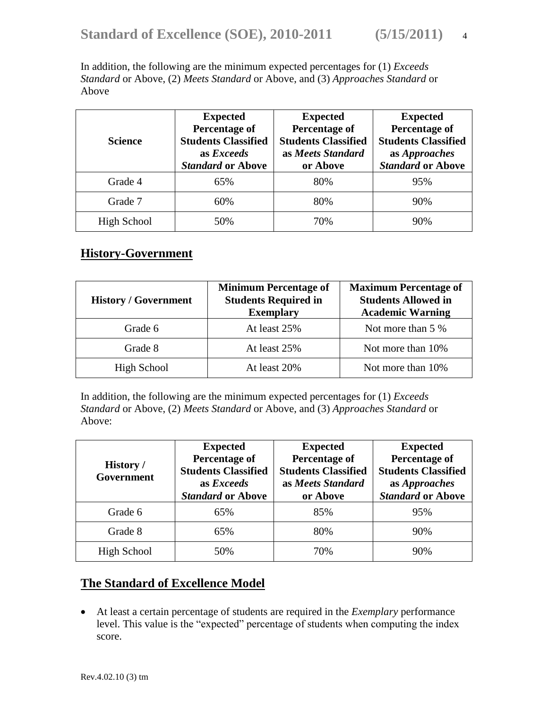In addition, the following are the minimum expected percentages for (1) *Exceeds Standard* or Above, (2) *Meets Standard* or Above, and (3) *Approaches Standard* or Above

| <b>Science</b> | <b>Expected</b><br><b>Percentage of</b><br><b>Students Classified</b><br>as <i>Exceeds</i><br><b>Standard or Above</b> | <b>Expected</b><br>Percentage of<br><b>Students Classified</b><br>as Meets Standard<br>or Above | <b>Expected</b><br><b>Percentage of</b><br><b>Students Classified</b><br>as Approaches<br><b>Standard or Above</b> |
|----------------|------------------------------------------------------------------------------------------------------------------------|-------------------------------------------------------------------------------------------------|--------------------------------------------------------------------------------------------------------------------|
| Grade 4        | 65%                                                                                                                    | 80%                                                                                             | 95%                                                                                                                |
| Grade 7        | 60%                                                                                                                    | 80%                                                                                             | 90%                                                                                                                |
| High School    | 50%                                                                                                                    | 70%                                                                                             | 90%                                                                                                                |

### **History-Government**

| <b>History / Government</b> | <b>Minimum Percentage of</b><br><b>Students Required in</b><br><b>Exemplary</b> | <b>Maximum Percentage of</b><br><b>Students Allowed in</b><br><b>Academic Warning</b> |
|-----------------------------|---------------------------------------------------------------------------------|---------------------------------------------------------------------------------------|
| Grade 6                     | At least 25%                                                                    | Not more than 5 %                                                                     |
| Grade 8                     | At least 25%                                                                    | Not more than 10%                                                                     |
| High School                 | At least 20%                                                                    | Not more than 10%                                                                     |

In addition, the following are the minimum expected percentages for (1) *Exceeds Standard* or Above, (2) *Meets Standard* or Above, and (3) *Approaches Standard* or Above:

| History /<br>Government | <b>Expected</b><br>Percentage of<br><b>Students Classified</b><br>as <i>Exceeds</i><br><b>Standard or Above</b> | <b>Expected</b><br>Percentage of<br><b>Students Classified</b><br>as Meets Standard<br>or Above | <b>Expected</b><br>Percentage of<br><b>Students Classified</b><br>as <i>Approaches</i><br><b>Standard or Above</b> |
|-------------------------|-----------------------------------------------------------------------------------------------------------------|-------------------------------------------------------------------------------------------------|--------------------------------------------------------------------------------------------------------------------|
| Grade 6                 | 65%                                                                                                             | 85%                                                                                             | 95%                                                                                                                |
| Grade 8                 | 65%                                                                                                             | 80%                                                                                             | 90%                                                                                                                |
| High School             | 50%                                                                                                             | 70%                                                                                             | 90%                                                                                                                |

### **The Standard of Excellence Model**

 At least a certain percentage of students are required in the *Exemplary* performance level. This value is the "expected" percentage of students when computing the index score.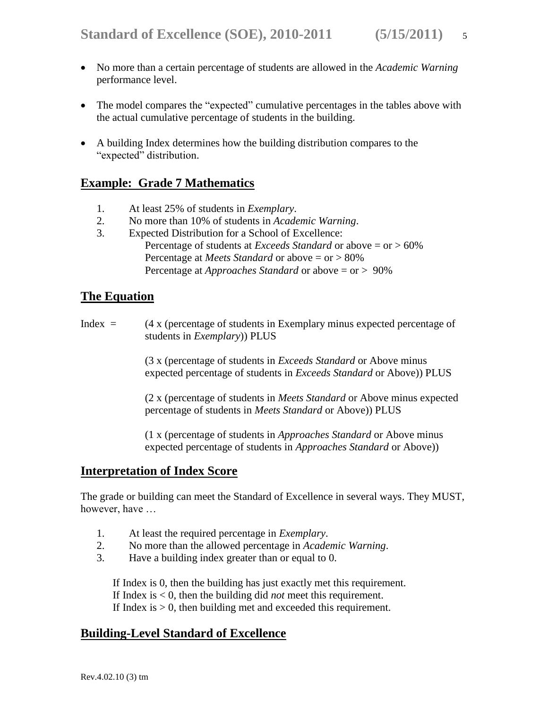- No more than a certain percentage of students are allowed in the *Academic Warning* performance level.
- The model compares the "expected" cumulative percentages in the tables above with the actual cumulative percentage of students in the building.
- A building Index determines how the building distribution compares to the "expected" distribution.

### **Example: Grade 7 Mathematics**

- 1. At least 25% of students in *Exemplary*.
- 2. No more than 10% of students in *Academic Warning*.
- 3. Expected Distribution for a School of Excellence: Percentage of students at *Exceeds Standard* or above = or > 60% Percentage at *Meets Standard* or above = or > 80% Percentage at *Approaches Standard* or above = or > 90%

### **The Equation**

Index  $=$  (4 x (percentage of students in Exemplary minus expected percentage of students in *Exemplary*)) PLUS

> (3 x (percentage of students in *Exceeds Standard* or Above minus expected percentage of students in *Exceeds Standard* or Above)) PLUS

(2 x (percentage of students in *Meets Standard* or Above minus expected percentage of students in *Meets Standard* or Above)) PLUS

(1 x (percentage of students in *Approaches Standard* or Above minus expected percentage of students in *Approaches Standard* or Above))

#### **Interpretation of Index Score**

The grade or building can meet the Standard of Excellence in several ways. They MUST, however, have …

- 1. At least the required percentage in *Exemplary*.
- 2. No more than the allowed percentage in *Academic Warning*.
- 3. Have a building index greater than or equal to 0.

If Index is 0, then the building has just exactly met this requirement. If Index is < 0, then the building did *not* meet this requirement. If Index is  $> 0$ , then building met and exceeded this requirement.

### **Building-Level Standard of Excellence**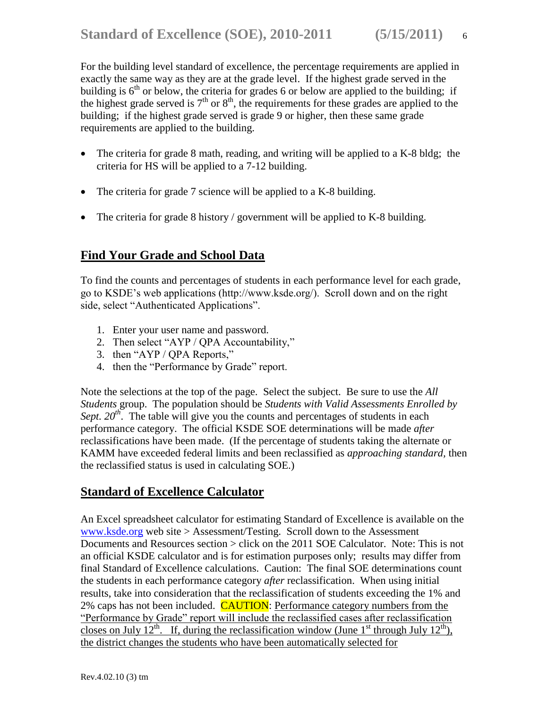For the building level standard of excellence, the percentage requirements are applied in exactly the same way as they are at the grade level. If the highest grade served in the building is  $6<sup>th</sup>$  or below, the criteria for grades 6 or below are applied to the building; if the highest grade served is  $7<sup>th</sup>$  or  $8<sup>th</sup>$ , the requirements for these grades are applied to the building; if the highest grade served is grade 9 or higher, then these same grade requirements are applied to the building.

- The criteria for grade 8 math, reading, and writing will be applied to a K-8 bldg; the criteria for HS will be applied to a 7-12 building.
- The criteria for grade 7 science will be applied to a K-8 building.
- The criteria for grade 8 history / government will be applied to K-8 building.

### **Find Your Grade and School Data**

To find the counts and percentages of students in each performance level for each grade, go to KSDE's web applications (http://www.ksde.org/). Scroll down and on the right side, select "Authenticated Applications".

- 1. Enter your user name and password.
- 2. Then select "AYP / QPA Accountability,"
- 3. then "AYP / QPA Reports,"
- 4. then the "Performance by Grade" report.

Note the selections at the top of the page. Select the subject. Be sure to use the *All Students* group. The population should be *Students with Valid Assessments Enrolled by*  Sept. 20<sup>th</sup>. The table will give you the counts and percentages of students in each performance category. The official KSDE SOE determinations will be made *after*  reclassifications have been made. (If the percentage of students taking the alternate or KAMM have exceeded federal limits and been reclassified as *approaching standard,* then the reclassified status is used in calculating SOE.)

### **Standard of Excellence Calculator**

An Excel spreadsheet calculator for estimating Standard of Excellence is available on the [www.ksde.org](http://www.ksde.org/) web site > Assessment/Testing. Scroll down to the Assessment Documents and Resources section > click on the 2011 SOE Calculator. Note: This is not an official KSDE calculator and is for estimation purposes only; results may differ from final Standard of Excellence calculations. Caution: The final SOE determinations count the students in each performance category *after* reclassification. When using initial results, take into consideration that the reclassification of students exceeding the 1% and 2% caps has not been included. **CAUTION**: Performance category numbers from the "Performance by Grade" report will include the reclassified cases after reclassification closes on July 12<sup>th</sup>. If, during the reclassification window (June 1<sup>st</sup> through July 12<sup>th</sup>), the district changes the students who have been automatically selected for